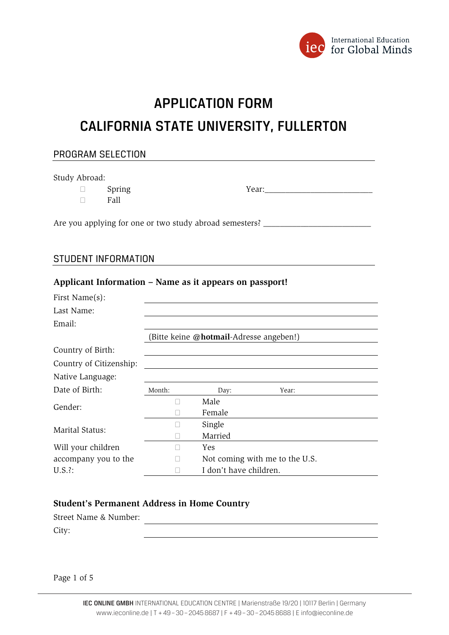

# APPLICATION FORM

# CALIFORNIA STATE UNIVERSITY, FULLERTON

# PROGRAM SELECTION Study Abroad:  $\Box$  Spring  $\Box$  $\Box$  Fall

Are you applying for one or two study abroad semesters? \_\_\_\_\_\_\_\_\_\_\_\_\_\_\_\_\_\_\_\_\_\_\_\_

**Applicant Information – Name as it appears on passport!** 

#### STUDENT INFORMATION

| First Name(s):          |                                         |                        |                                |  |
|-------------------------|-----------------------------------------|------------------------|--------------------------------|--|
| Last Name:              |                                         |                        |                                |  |
| Email:                  |                                         |                        |                                |  |
|                         | (Bitte keine @hotmail-Adresse angeben!) |                        |                                |  |
| Country of Birth:       |                                         |                        |                                |  |
| Country of Citizenship: |                                         |                        |                                |  |
| Native Language:        |                                         |                        |                                |  |
| Date of Birth:          | Month:                                  | Day:                   | Year:                          |  |
| Gender:                 |                                         | Male                   |                                |  |
|                         |                                         | Female                 |                                |  |
| Marital Status:         |                                         | Single                 |                                |  |
|                         |                                         | Married                |                                |  |
| Will your children      | П                                       | <b>Yes</b>             |                                |  |
| accompany you to the    |                                         |                        | Not coming with me to the U.S. |  |
| $U.S.$ ?:               |                                         | I don't have children. |                                |  |

#### **Student's Permanent Address in Home Country**

Street Name & Number:

City:

Page 1 of 5

<u> 1980 - Jan James Barnett, fransk politik (d. 1980)</u>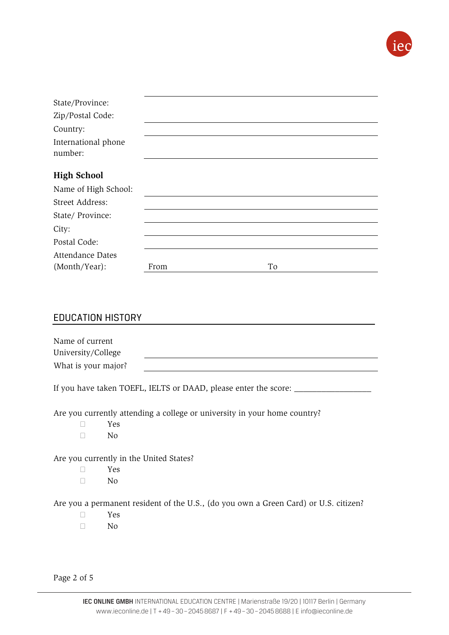

| From | To |
|------|----|
|      |    |

## EDUCATION HISTORY

| Name of current     |  |
|---------------------|--|
| University/College  |  |
| What is your major? |  |

If you have taken TOEFL, IELTS or DAAD, please enter the score: \_\_\_\_\_

Are you currently attending a college or university in your home country?

- Yes
- $\Box$  No

Are you currently in the United States?

- Yes
- $\Box$  No

Are you a permanent resident of the U.S., (do you own a Green Card) or U.S. citizen?

- Yes
- $\neg$  No

Page 2 of 5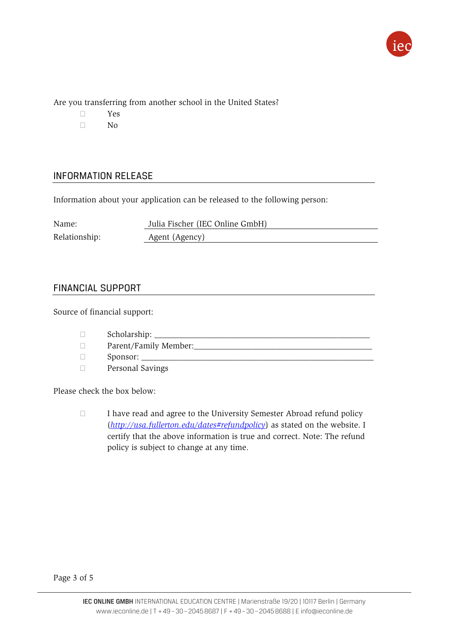

Are you transferring from another school in the United States?

- Yes
- $\Box$  No

## INFORMATION RELEASE

Information about your application can be released to the following person:

| Name:         | Julia Fischer (IEC Online GmbH) |
|---------------|---------------------------------|
| Relationship: | Agent (Agency)                  |

### FINANCIAL SUPPORT

Source of financial support:

- $\Box$  Scholarship:
- Parent/Family Member:\_\_\_\_\_\_\_\_\_\_\_\_\_\_\_\_\_\_\_\_\_\_\_\_\_\_\_\_\_\_\_\_\_\_\_\_\_\_\_\_\_\_\_
- $\Box$  Sponsor:
- Personal Savings

Please check the box below:

 $\Box$  I have read and agree to the University Semester Abroad refund policy (*http://usa.fullerton.edu/dates#refundpolicy*) as stated on the website. I certify that the above information is true and correct. Note: The refund policy is subject to change at any time.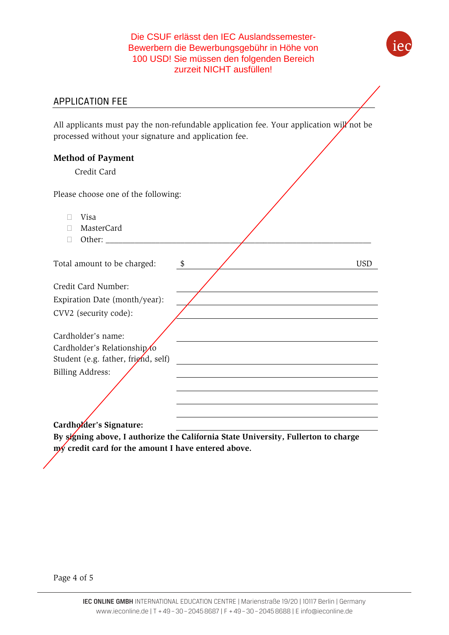Die CSUF erlässt den IEC Auslandssemester-Bewerbern die Bewerbungsgebühr in Höhe von 100 USD! Sie müssen den folgenden Bereich zurzeit NICHT ausfüllen!



All applicants must pay the non-refundable application fee. Your application will not be processed without your signature and application fee.

| <b>Method of Payment</b><br>Credit Card                                                  |                             |
|------------------------------------------------------------------------------------------|-----------------------------|
| Please choose one of the following:                                                      |                             |
| Visa                                                                                     |                             |
| MasterCard<br>П                                                                          |                             |
|                                                                                          |                             |
| Total amount to be charged:                                                              | <b>USD</b><br>$\frac{1}{2}$ |
|                                                                                          |                             |
| Credit Card Number:                                                                      |                             |
| Expiration Date (month/year):                                                            |                             |
| CVV2 (security code):                                                                    |                             |
| Cardholder's name:<br>Cardholder's Relationship/o<br>Student (e.g. father, fright, self) |                             |
| <b>Billing Address:</b>                                                                  |                             |
|                                                                                          |                             |
|                                                                                          |                             |
|                                                                                          |                             |

Cardholder's Signature:

**By signing above, I authorize the California State University, Fullerton to charge my credit card for the amount I have entered above.**